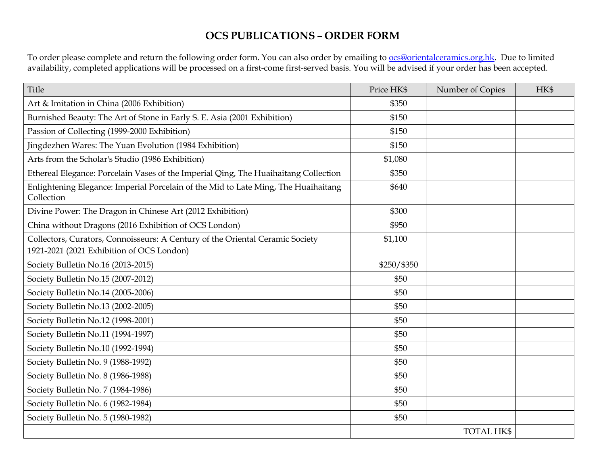## **OCS PUBLICATIONS – ORDER FORM**

To order please complete and return the following order form. You can also order by emailing to <u>ocs@orientalceramics.org.hk</u>. Due to limited availability, completed applications will be processed on a first-come first-served basis. You will be advised if your order has been accepted.

| Title                                                                                            | Price HK\$  | Number of Copies  | HK\$ |
|--------------------------------------------------------------------------------------------------|-------------|-------------------|------|
| Art & Imitation in China (2006 Exhibition)                                                       | \$350       |                   |      |
| Burnished Beauty: The Art of Stone in Early S. E. Asia (2001 Exhibition)                         | \$150       |                   |      |
| Passion of Collecting (1999-2000 Exhibition)                                                     | \$150       |                   |      |
| Jingdezhen Wares: The Yuan Evolution (1984 Exhibition)                                           | \$150       |                   |      |
| Arts from the Scholar's Studio (1986 Exhibition)                                                 | \$1,080     |                   |      |
| Ethereal Elegance: Porcelain Vases of the Imperial Qing, The Huaihaitang Collection              | \$350       |                   |      |
| Enlightening Elegance: Imperial Porcelain of the Mid to Late Ming, The Huaihaitang<br>Collection | \$640       |                   |      |
| Divine Power: The Dragon in Chinese Art (2012 Exhibition)                                        | \$300       |                   |      |
| China without Dragons (2016 Exhibition of OCS London)                                            | \$950       |                   |      |
| Collectors, Curators, Connoisseurs: A Century of the Oriental Ceramic Society                    | \$1,100     |                   |      |
| 1921-2021 (2021 Exhibition of OCS London)                                                        |             |                   |      |
| Society Bulletin No.16 (2013-2015)                                                               | \$250/\$350 |                   |      |
| Society Bulletin No.15 (2007-2012)                                                               | \$50        |                   |      |
| Society Bulletin No.14 (2005-2006)                                                               | \$50        |                   |      |
| Society Bulletin No.13 (2002-2005)                                                               | \$50        |                   |      |
| Society Bulletin No.12 (1998-2001)                                                               | \$50        |                   |      |
| Society Bulletin No.11 (1994-1997)                                                               | \$50        |                   |      |
| Society Bulletin No.10 (1992-1994)                                                               | \$50        |                   |      |
| Society Bulletin No. 9 (1988-1992)                                                               | \$50        |                   |      |
| Society Bulletin No. 8 (1986-1988)                                                               | \$50        |                   |      |
| Society Bulletin No. 7 (1984-1986)                                                               | \$50        |                   |      |
| Society Bulletin No. 6 (1982-1984)                                                               | \$50        |                   |      |
| Society Bulletin No. 5 (1980-1982)                                                               | \$50        |                   |      |
|                                                                                                  |             | <b>TOTAL HK\$</b> |      |